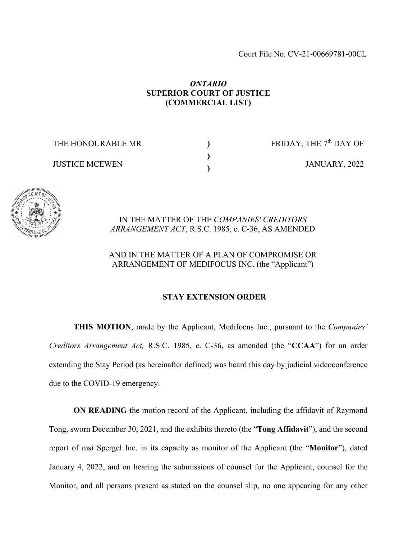## *ONTARIO* **SUPERIOR COURT OF JUSTICE (COMMERCIAL LIST)**

**) ) )**

THE HONOURABLE MR

JUSTICE MCEWEN

FRIDAY, THE 7<sup>th</sup> DAY OF JANUARY, 2022



IN THE MATTER OF THE *COMPANIES' CREDITORS ARRANGEMENT ACT*, R.S.C. 1985, c. C-36, AS AMENDED

AND IN THE MATTER OF A PLAN OF COMPROMISE OR ARRANGEMENT OF MEDIFOCUS INC. (the "Applicant")

## **STAY EXTENSION ORDER**

**THIS MOTION**, made by the Applicant, Medifocus Inc., pursuant to the *Companies' Creditors Arrangement Act,* R.S.C. 1985, c. C-36, as amended (the "**CCAA**") for an order extending the Stay Period (as hereinafter defined) was heard this day by judicial videoconference due to the COVID-19 emergency.

**ON READING** the motion record of the Applicant, including the affidavit of Raymond Tong, sworn December 30, 2021, and the exhibits thereto (the "**Tong Affidavit**"), and the second report of msi Spergel Inc. in its capacity as monitor of the Applicant (the "**Monitor**"), dated January 4, 2022, and on hearing the submissions of counsel for the Applicant, counsel for the Monitor, and all persons present as stated on the counsel slip, no one appearing for any other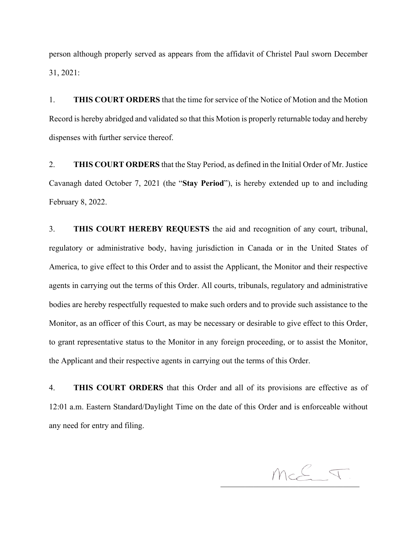person although properly served as appears from the affidavit of Christel Paul sworn December 31, 2021:

1. **THIS COURT ORDERS** that the time for service of the Notice of Motion and the Motion Record is hereby abridged and validated so that this Motion is properly returnable today and hereby dispenses with further service thereof.

2. **THIS COURT ORDERS** that the Stay Period, as defined in the Initial Order of Mr. Justice Cavanagh dated October 7, 2021 (the "**Stay Period**"), is hereby extended up to and including February 8, 2022.

3. **THIS COURT HEREBY REQUESTS** the aid and recognition of any court, tribunal, regulatory or administrative body, having jurisdiction in Canada or in the United States of America, to give effect to this Order and to assist the Applicant, the Monitor and their respective agents in carrying out the terms of this Order. All courts, tribunals, regulatory and administrative bodies are hereby respectfully requested to make such orders and to provide such assistance to the Monitor, as an officer of this Court, as may be necessary or desirable to give effect to this Order, to grant representative status to the Monitor in any foreign proceeding, or to assist the Monitor, the Applicant and their respective agents in carrying out the terms of this Order.

4. **THIS COURT ORDERS** that this Order and all of its provisions are effective as of 12:01 a.m. Eastern Standard/Daylight Time on the date of this Order and is enforceable without any need for entry and filing.

 $McE \nabla$